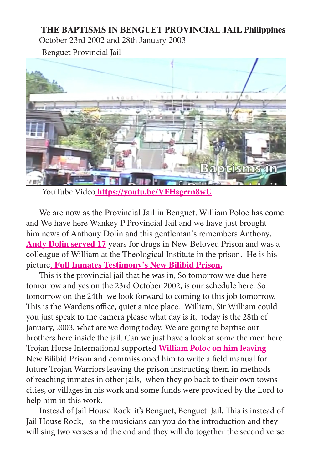## **THE BAPTISMS IN BENGUET PROVINCIAL JAIL Philippines**

October 23rd 2002 and 28th January 2003

Benguet Provincial Jail



YouTube Video**<https://youtu.be/VFHsgrrn8wU>**

We are now as the Provincial Jail in Benguet. William Poloc has come and We have here Wankey P Provincial Jail and we have just brought him news of Anthony Dolin and this gentleman's remembers Anthony. [Andy Dolin served 17](https://youtu.be/2GYjDs258yk) years for drugs in New Beloved Prison and was a colleague of William at the Theological Institute in the prison. He is his picture. **[Full Inmates Testimony's New Bilibid Prison.](https://www.youtube.com/playlist?list=PLxUCCNlXtFtkZElWy7n3fUI67OuVXeczR)**

This is the provincial jail that he was in, So tomorrow we due here tomorrow and yes on the 23rd October 2002, is our schedule here. So tomorrow on the 24th we look forward to coming to this job tomorrow. This is the Wardens office, quiet a nice place. William, Sir William could you just speak to the camera please what day is it, today is the 28th of January, 2003, what are we doing today. We are going to baptise our brothers here inside the jail. Can we just have a look at some the men here. Trojan Horse International supported **[William Poloc on him leaving](https://youtu.be/f7FPFt9Y3A4)** New Bilibid Prison and commissioned him to write a field manual for future Trojan Warriors leaving the prison instructing them in methods of reaching inmates in other jails, when they go back to their own towns cities, or villages in his work and some funds were provided by the Lord to help him in this work.

Instead of Jail House Rock it's Benguet, Benguet Jail, This is instead of Jail House Rock, so the musicians can you do the introduction and they will sing two verses and the end and they will do together the second verse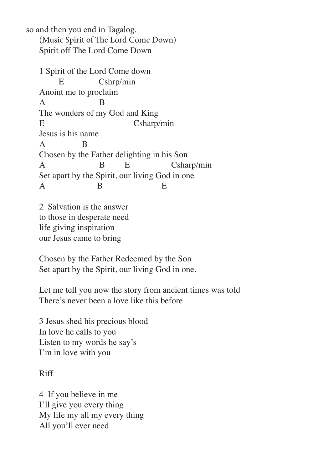so and then you end in Tagalog. (Music Spirit of The Lord Come Down) Spirit off The Lord Come Down

1 Spirit of the Lord Come down E Cshrp/min Anoint me to proclaim A B The wonders of my God and King E Csharp/min Jesus is his name A B Chosen by the Father delighting in his Son A B E Csharp/min Set apart by the Spirit, our living God in one  $\mathbf A$  B E

2 Salvation is the answer to those in desperate need life giving inspiration our Jesus came to bring

Chosen by the Father Redeemed by the Son Set apart by the Spirit, our living God in one.

Let me tell you now the story from ancient times was told There's never been a love like this before

3 Jesus shed his precious blood In love he calls to you Listen to my words he say's I'm in love with you

Riff

4 If you believe in me I'll give you every thing My life my all my every thing All you'll ever need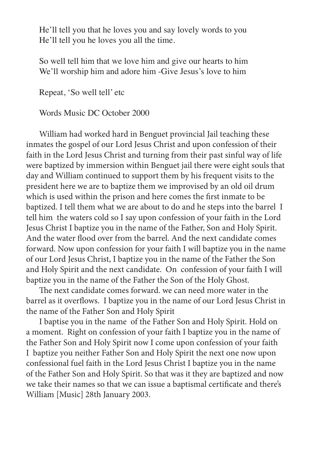He'll tell you that he loves you and say lovely words to you He'll tell you he loves you all the time.

So well tell him that we love him and give our hearts to him We'll worship him and adore him -Give Jesus's love to him

Repeat, 'So well tell' etc

Words Music DC October 2000

William had worked hard in Benguet provincial Jail teaching these inmates the gospel of our Lord Jesus Christ and upon confession of their faith in the Lord Jesus Christ and turning from their past sinful way of life were baptized by immersion within Benguet jail there were eight souls that day and William continued to support them by his frequent visits to the president here we are to baptize them we improvised by an old oil drum which is used within the prison and here comes the first inmate to be baptized. I tell them what we are about to do and he steps into the barrel I tell him the waters cold so I say upon confession of your faith in the Lord Jesus Christ I baptize you in the name of the Father, Son and Holy Spirit. And the water flood over from the barrel. And the next candidate comes forward. Now upon confession for your faith I will baptize you in the name of our Lord Jesus Christ, I baptize you in the name of the Father the Son and Holy Spirit and the next candidate. On confession of your faith I will baptize you in the name of the Father the Son of the Holy Ghost.

The next candidate comes forward. we can need more water in the barrel as it overflows. I baptize you in the name of our Lord Jesus Christ in the name of the Father Son and Holy Spirit

I baptise you in the name of the Father Son and Holy Spirit. Hold on a moment. Right on confession of your faith I baptize you in the name of the Father Son and Holy Spirit now I come upon confession of your faith I baptize you neither Father Son and Holy Spirit the next one now upon confessional fuel faith in the Lord Jesus Christ I baptize you in the name of the Father Son and Holy Spirit. So that was it they are baptized and now we take their names so that we can issue a baptismal certificate and there's William [Music] 28th January 2003.